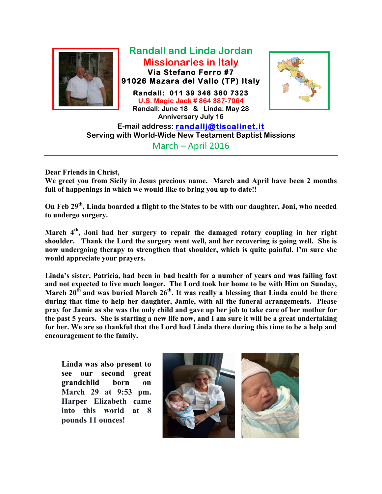

**Randall and Linda Jordan Missionaries in Italy Via Stefano Ferro #7 91026 Mazara del Vallo (TP) Italy** 

**Randall: 011 39 348 380 7323 U.S. Magic Jack # 864 387-7064 Randall: June 18 & Linda: May 28 Anniversary July 16**



**E-mail address: randallj@tiscalinet.it Serving with World-Wide New Testament Baptist Missions** March – April 2016

**Dear Friends in Christ,**

**We greet you from Sicily in Jesus precious name. March and April have been 2 months full of happenings in which we would like to bring you up to date!!**

**On Feb 29th, Linda boarded a flight to the States to be with our daughter, Joni, who needed to undergo surgery.** 

**March 4th, Joni had her surgery to repair the damaged rotary coupling in her right shoulder. Thank the Lord the surgery went well, and her recovering is going well. She is now undergoing therapy to strengthen that shoulder, which is quite painful. I'm sure she would appreciate your prayers.**

**Linda's sister, Patricia, had been in bad health for a number of years and was failing fast and not expected to live much longer. The Lord took her home to be with Him on Sunday,** March 20<sup>th</sup> and was buried March 26<sup>th</sup>. It was really a blessing that Linda could be there **during that time to help her daughter, Jamie, with all the funeral arrangements. Please pray for Jamie as she was the only child and gave up her job to take care of her mother for the past 5 years. She is starting a new life now, and I am sure it will be a great undertaking for her. We are so thankful that the Lord had Linda there during this time to be a help and encouragement to the family.** 

**Linda was also present to see our second great grandchild born on March 29 at 9:53 pm. Harper Elizabeth came into this world at 8 pounds 11 ounces!**